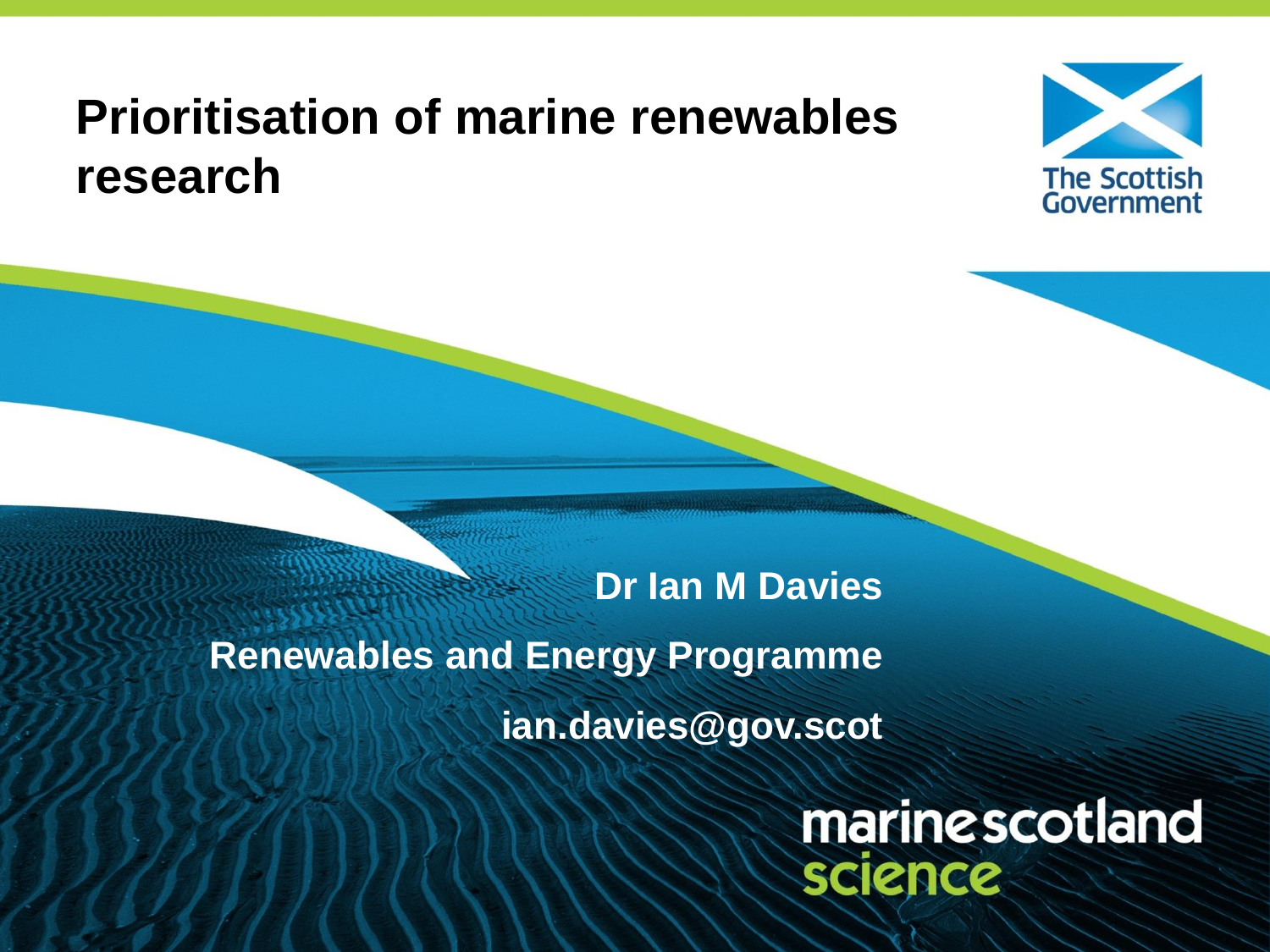#### **Prioritisation of marine renewables research**



### **Dr Ian M Davies Renewables and Energy Programme ian.davies@gov.scot**

marinescotland science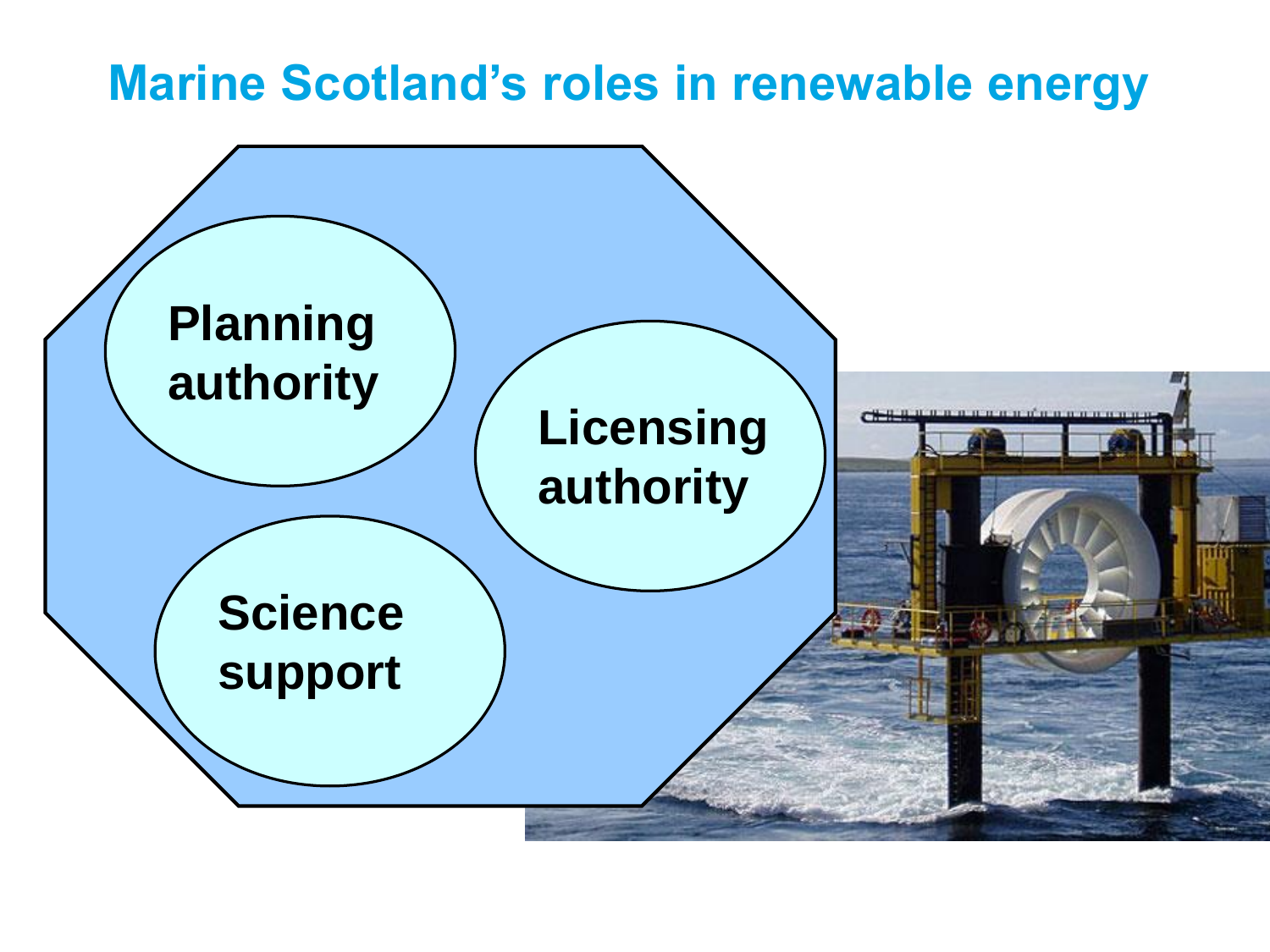#### **Marine Scotland's roles in renewable energy**

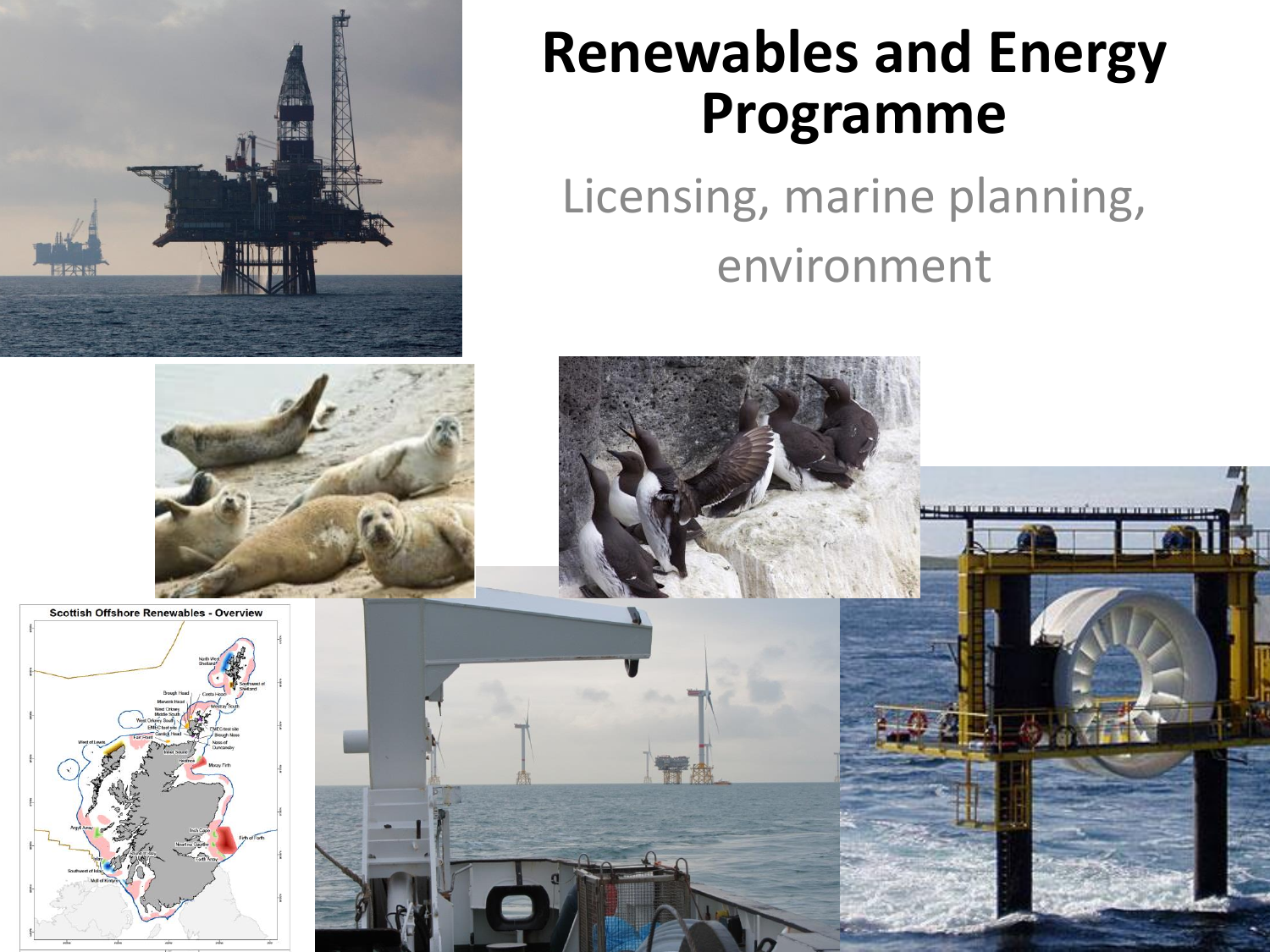

### **Renewables and Energy Programme**

Licensing, marine planning, environment

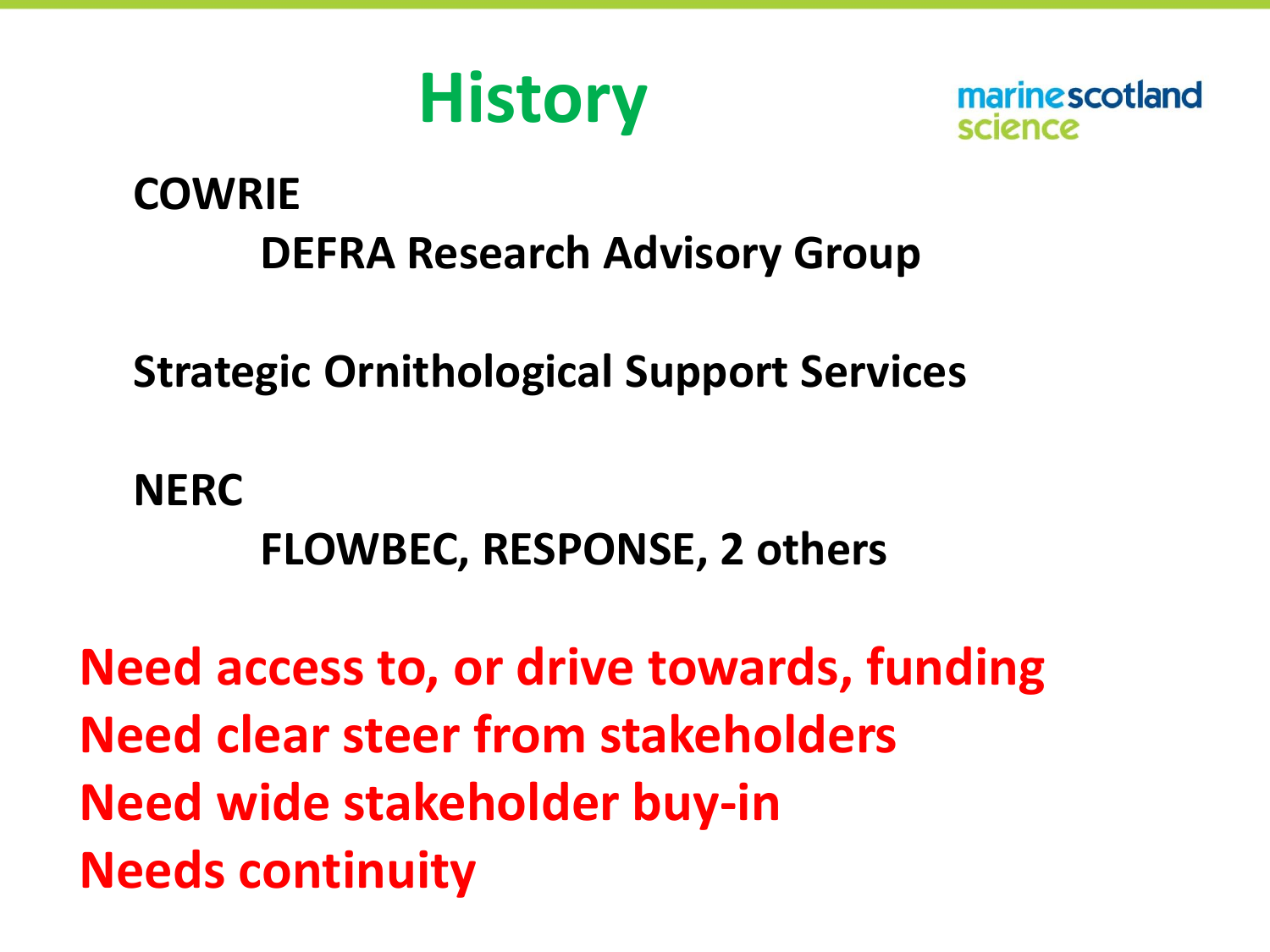

marine scotland

#### **COWRIE DEFRA Research Advisory Group**

**Strategic Ornithological Support Services**

**NERC FLOWBEC, RESPONSE, 2 others**

**Need access to, or drive towards, funding Need clear steer from stakeholders Need wide stakeholder buy-in Needs continuity**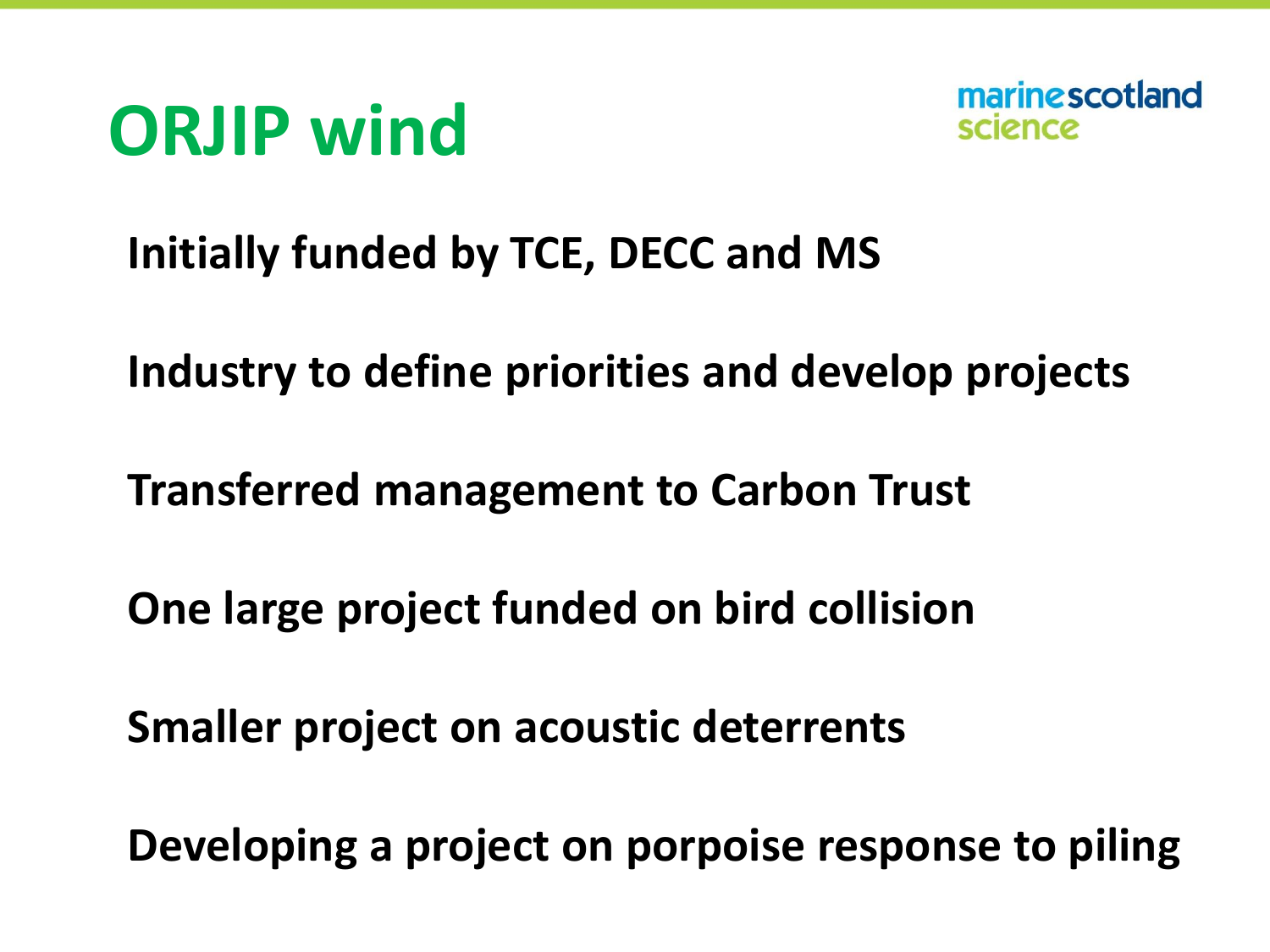



#### **Initially funded by TCE, DECC and MS**

**Industry to define priorities and develop projects**

**Transferred management to Carbon Trust** 

**One large project funded on bird collision**

**Smaller project on acoustic deterrents**

**Developing a project on porpoise response to piling**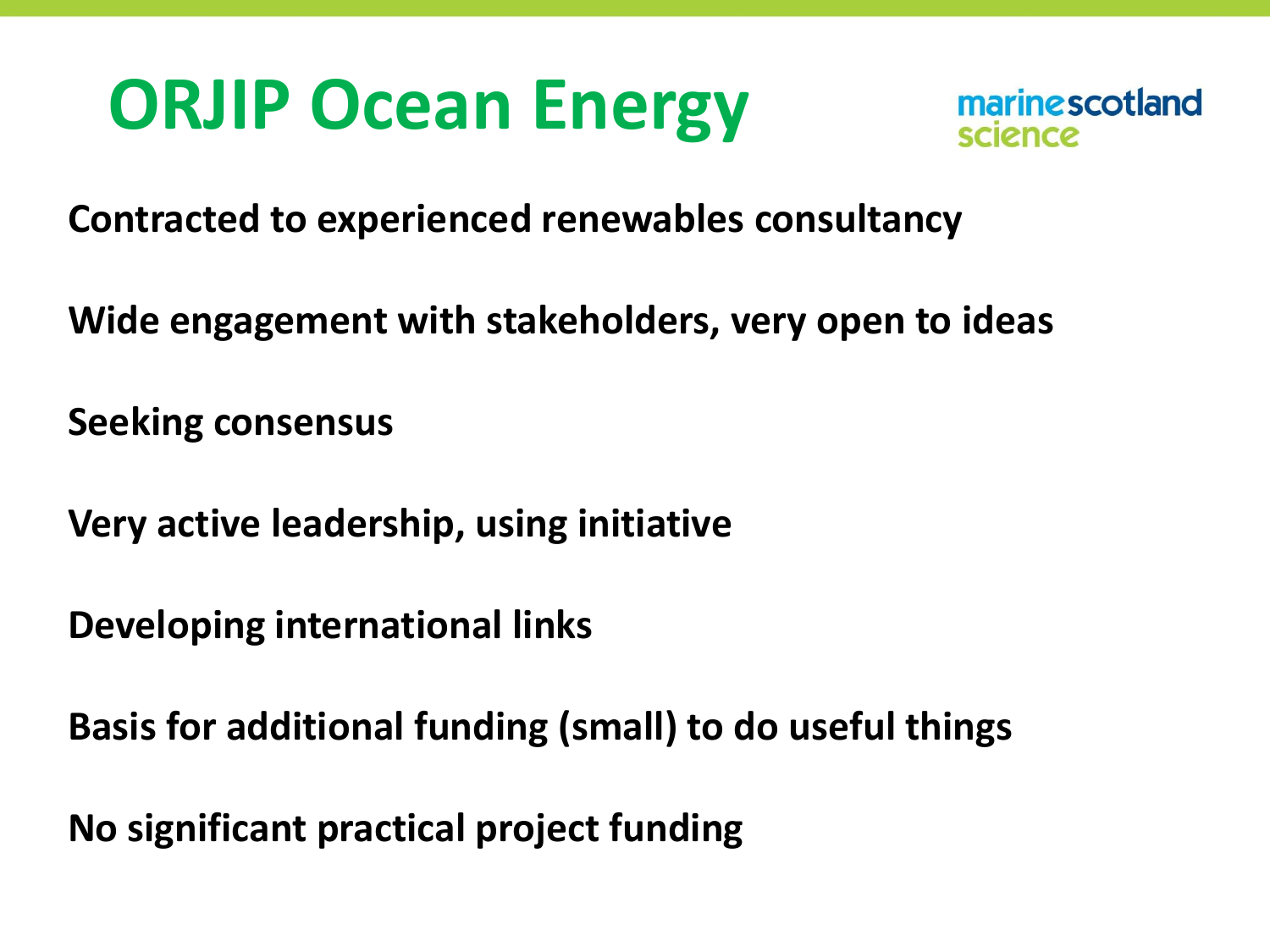# **ORJIP Ocean Energy**



**Contracted to experienced renewables consultancy** 

**Wide engagement with stakeholders, very open to ideas**

**Seeking consensus**

**Very active leadership, using initiative** 

**Developing international links** 

**Basis for additional funding (small) to do useful things** 

**No significant practical project funding**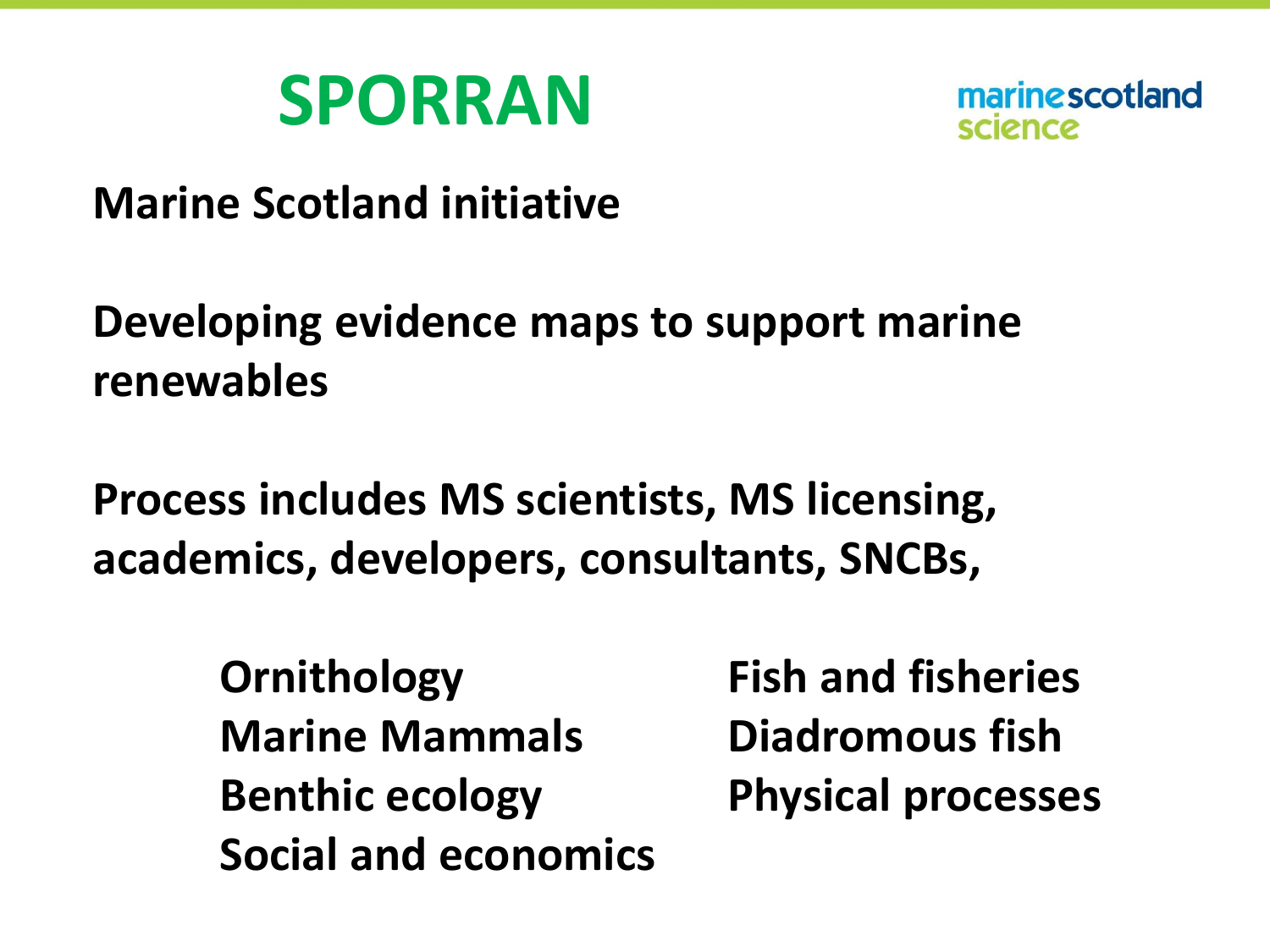



**Marine Scotland initiative**

#### **Developing evidence maps to support marine renewables**

**Process includes MS scientists, MS licensing, academics, developers, consultants, SNCBs,** 

> **Ornithology Fish and fisheries Marine Mammals Diadromous fish Benthic ecology Physical processes Social and economics**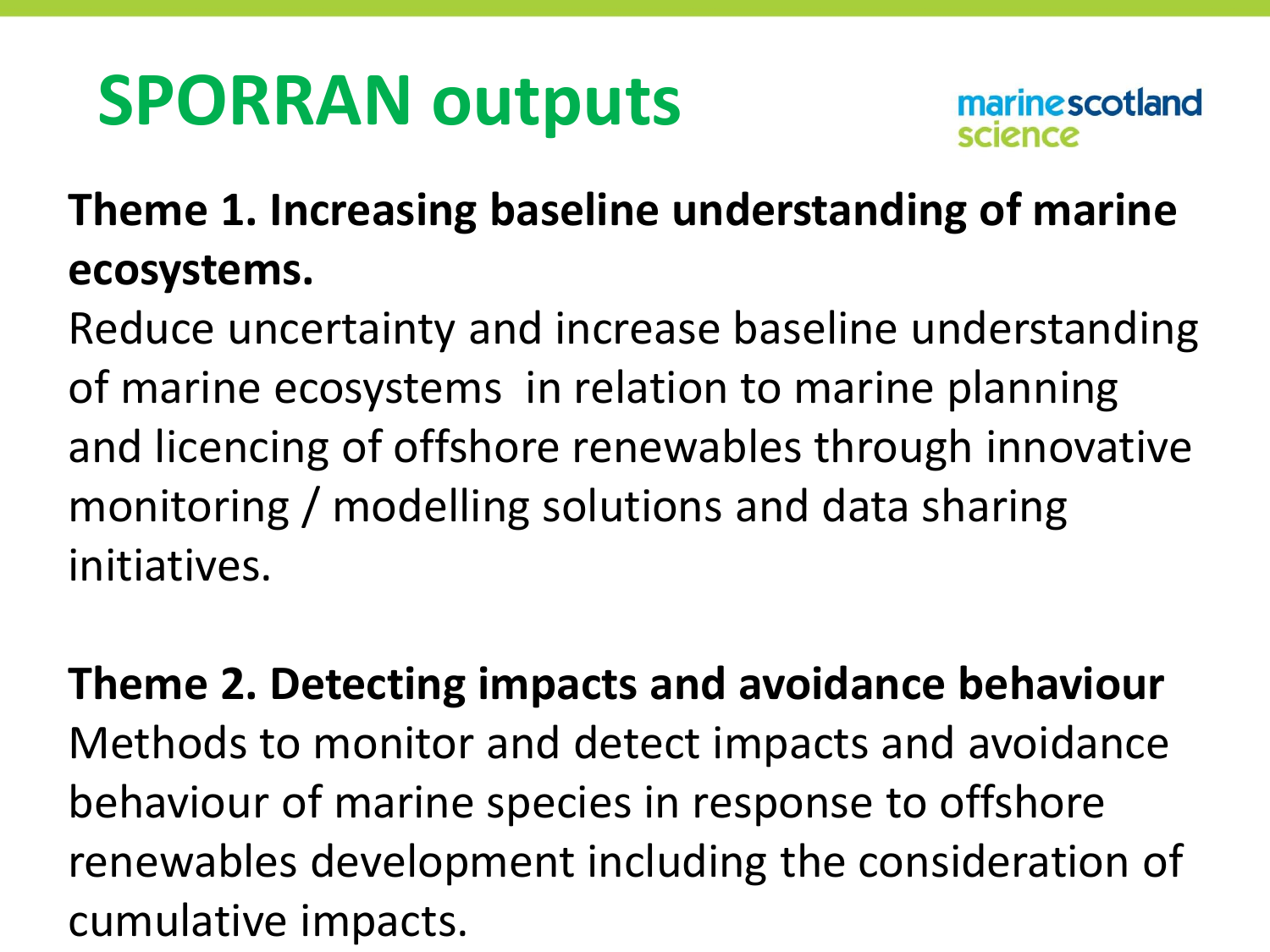# **SPORRAN outputs**

#### **Theme 1. Increasing baseline understanding of marine ecosystems.**

Reduce uncertainty and increase baseline understanding of marine ecosystems in relation to marine planning and licencing of offshore renewables through innovative monitoring / modelling solutions and data sharing initiatives.

#### **Theme 2. Detecting impacts and avoidance behaviour**  Methods to monitor and detect impacts and avoidance behaviour of marine species in response to offshore renewables development including the consideration of cumulative impacts.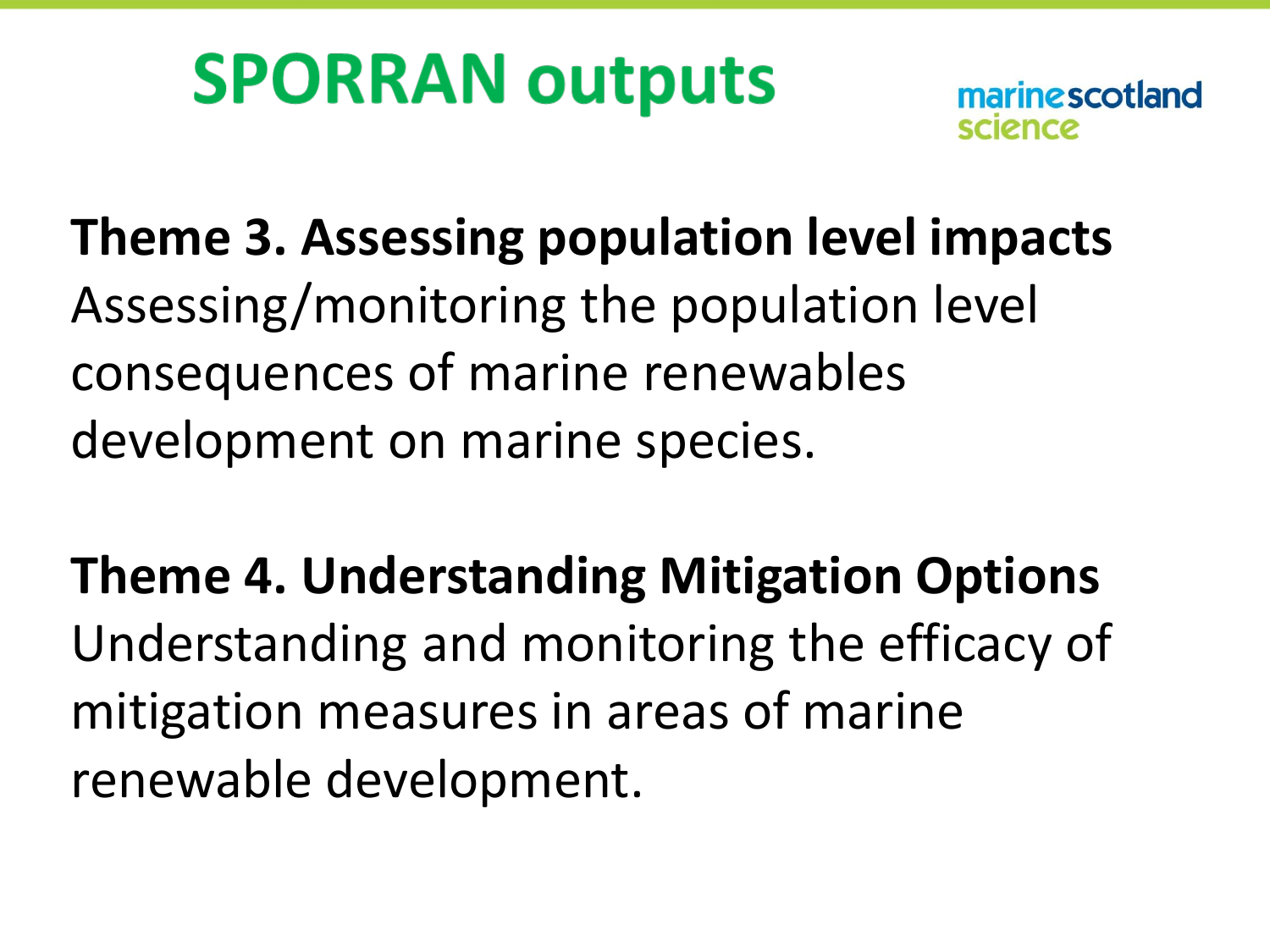# **SPORRAN outputs**

marine scotland

**Theme 3. Assessing population level impacts**  Assessing/monitoring the population level consequences of marine renewables development on marine species.

**Theme 4. Understanding Mitigation Options**  Understanding and monitoring the efficacy of mitigation measures in areas of marine renewable development.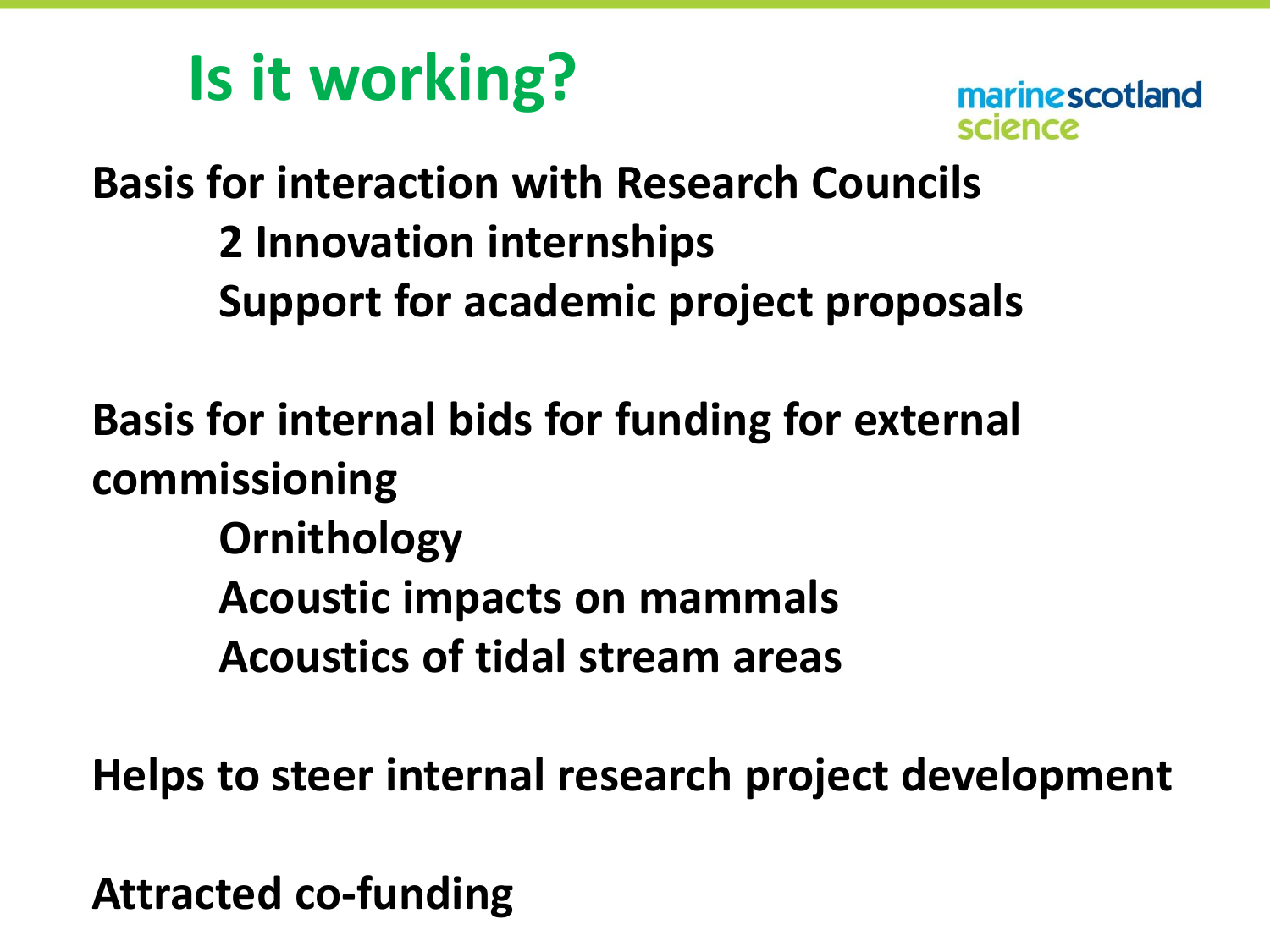## **Is it working?**



**Basis for interaction with Research Councils 2 Innovation internships Support for academic project proposals**

**Basis for internal bids for funding for external commissioning Ornithology Acoustic impacts on mammals Acoustics of tidal stream areas**

**Helps to steer internal research project development**

**Attracted co-funding**